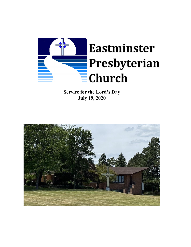

**Service for the Lord's Day July 19, 2020**

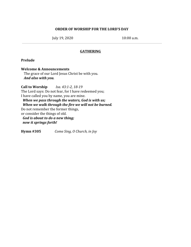### **ORDER OF WORSHIP FOR THE LORD'S DAY**

July 19, 2020 10:00 a.m.

## **GATHERING**

### **Prelude**

**Welcome & Announcements** The grace of our Lord Jesus Christ be with you. *And also with you.*

**Call to Worship** *Isa. 43:1-2, 18-19* The Lord says: Do not fear, for I have redeemed you; I have called you by name, you are mine. *When we pass through the waters, God is with us; When we walk through the fire we will not be burned.* Do not remember the former things, or consider the things of old. *God is about to do a new thing; now it springs forth!*

**Hymn #305** *Come Sing, O Church, in Joy*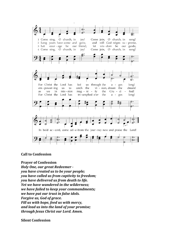

**Call to Confession**

**Prayer of Confession**

*Holy One, our great Redeemer you have created us to be your people; you have called us from captivity to freedom; you have delivered us from death to life. Yet we have wandered in the wilderness; we have failed to keep your commandments; we have put our trust in false idols. Forgive us, God of grace. Fill us with hope, feed us with mercy, and lead us into the land of your promise; through Jesus Christ our Lord. Amen.*

**Silent Confession**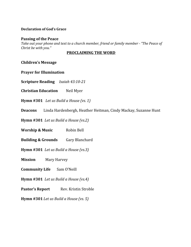# **Declaration of God's Grace**

### **Passing of the Peace**

*Take out your phone and text to a church member, friend or family member - "The Peace of Christ be with you."*

# **PROCLAIMING THE WORD**

## **Children's Message**

**Prayer for Illumination**

**Scripture Reading** *Isaiah 43:10-21*

**Christian Education** Neil Myer

**Hymn #301** *Let us Build a House (vs. 1)*

**Deacons** Linda Hardenbergh, Heather Heitman, Cindy Mackay, Suzanne Hunt

**Hymn #301** *Let us Build a House (vs.2)*

**Worship & Music** Robin Bell

**Building & Grounds** Gary Blanchard

**Hymn #301** *Let us Build a House (vs.3)*

**Mission** Mary Harvey

**Community Life** Sam O'Neill

**Hymn #301** *Let us Build a House (vs.4)*

**Pastor's Report** Rev. Kristin Stroble

**Hymn #301** *Let us Build a House (vs. 5)*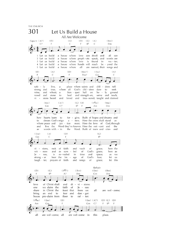THE CHURCH 301 Let Us Build a House All Are Welcome Capo 3: (A7)  $(D)$  $(A)$  $(D)$   $(G)$  $(A)$  $(Bm)$  $C<sub>7</sub>$  $\mathsf{C}$ Dm  $\mathsf{F}$ F  $B<sub>b</sub>$  $\mathcal{C}$  $\bullet$  $\overline{\phantom{a}}$ 1 Let us build a house where love can dwell and all can 2 Let us build a house where proph-ets speak, and words are 3 Let us build a house where love is found in wa - ter, 4 Let us build a house where hands will reach be - vond the 5 Let us build a house where all are named, their songs and  $(D)$  $(A)$  $(D)$  $(Bm7)$  $E(m)$  $(A)$  $\mathsf F$  $\mathsf C$ F  $Dm7$  $Gm$  $\mathsf C$  $\bullet$  $\epsilon$ place where saints and safe - lv live, chil - dren tell a strong and true, where all God's chil-dren dare to seek wine, wheat; ban - quet hall on ho - ly ground and a serve and teach, wood and stone to heal and strength-en, and trea-sured, taught and claimed  $vi$ sions heard and loved  $E(m)$  $(A7)$  $(G)$  (D)  $(F^{\sharp}m)$  $(Bm)$  $Gm$  $C<sub>7</sub>$  $B<sub>p</sub>$  $F$  $\mathsf{Am}$  $Dm$ ø  $\overline{c}$ . how hearts learn to for - give. Built of hopes and dreams and dream God's reign a - new. Here the cross shall stand as  $\mathbf{t}$ where peace and jus - tice meet. Here the love of God, through live the Word they've known. Here the out - cast and the and words with - in the Word. Built of tears and cries and as  $(A)$  $(D)$  $(Em)$  $(G)$  $Gm$  $\mathsf C$  $B<sup>b</sup>$ F  $\bullet$ 0 d. sions,  $vi$ rock  $\sigma$ faith vault of grace; here the and wit - ness and as bol of God's here sym grace; as Je - sus,  $is$ re-vealed in  $\lim$ e and space; as we strang - er bear the im age of God's face; let us laugh - ter, prayers of faith let this and songs of grace; Refrain  $(D)$  $(G)$  $(F#7)$  $(Bm)$  $E(m)$  $(Bm)$  $\mathsf F$  $B<sub>p</sub>$  $A7$  $Gm$  $Dm$  ${\sf Dm}$  $\bullet$ love of Christ shall end di vi - sions: one we claim the faith of Je - sus: share in Christ the feast that frees us: all are wel - come; an end to fear and dan - ger: bring pro-claim from floor to raf - ter: house  $(F^{\sharp}m)$  $E(m)$  $(D)$  $(Em) (A7)$  $(D)$   $(G)$   $(D)$  $F = B^{\frac{1}{2}}$  $Am$  $Gm$ F  $Gm$  $C7$  $\mathsf F$  $\bullet$ ◢ T -6 6 all are wel-come; all are wel-come in this place.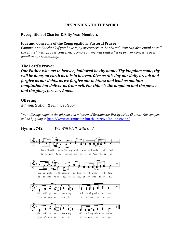## **RESPONDING TO THE WORD**

#### **Recognition of Charter & Fifty Year Members**

#### **Joys and Concerns of the Congregation/ Pastoral Prayer**

*Comment on Facebook if you have a joy or concern to be shared. You can also email or call the church with prayer concerns. Tomorrow we will send a list of prayer concerns over email to our community.*

## **The Lord's Prayer**

*Our Father who art in heaven, hallowed be thy name. Thy kingdom come, thy will be done, on earth as it is in heaven. Give us this day our daily bread; and forgive us our debts, as we forgive our debtors; and lead us not into temptation but deliver us from evil. For thine is the kingdom and the power and the glory, forever. Amen.*

## **Offering**

*Administration & Finance Report*

*Your of erings support the mission and ministry of Eastminster Presbyterian Church. You can give online by going to* <http://www.eastminsterchurch.org/give/online-giving/>

## **Hymn #742** *We Will Walk with God*